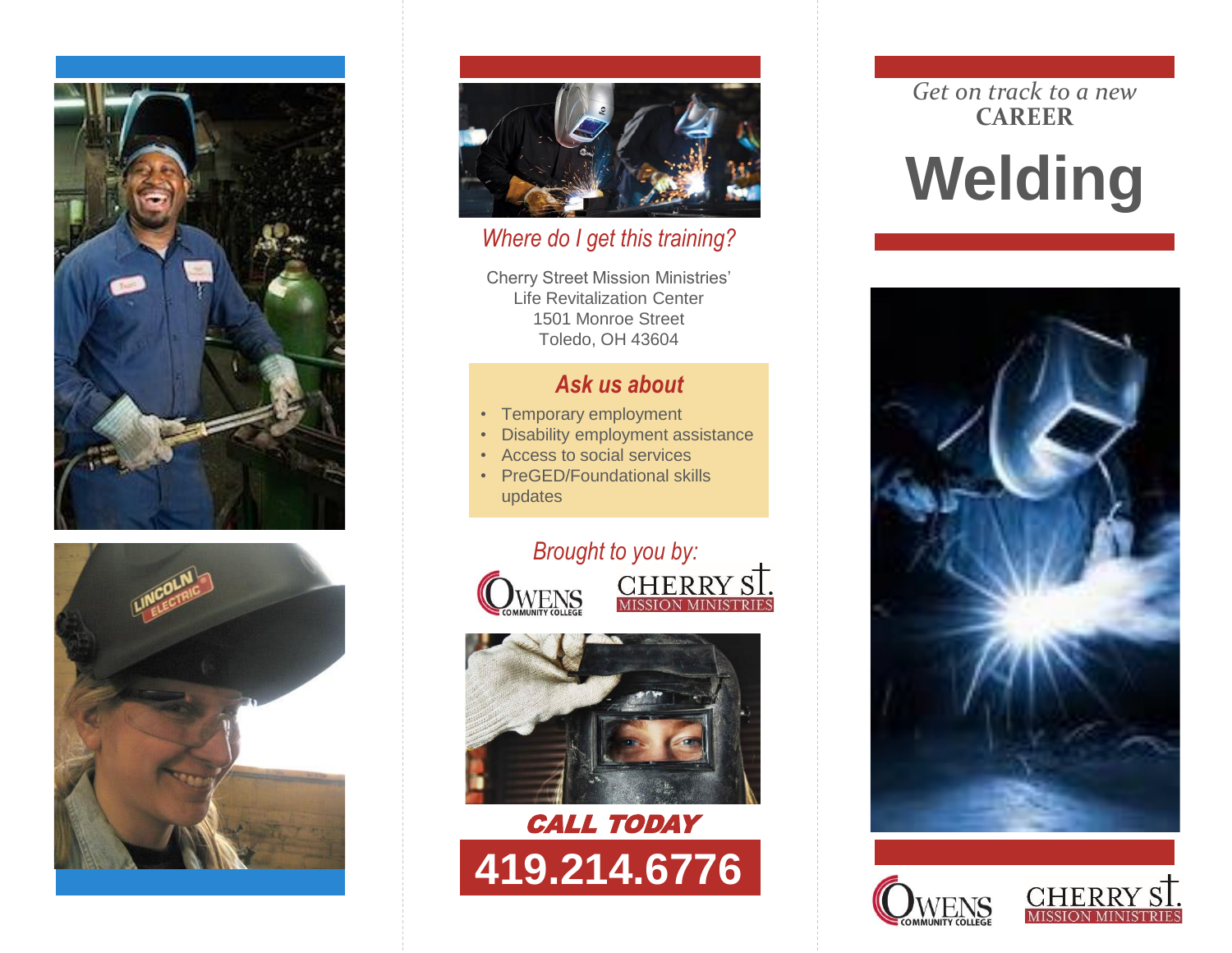





### *Where do I get this training?*

Cherry Street Mission Ministries' Life Revitalization Center 1501 Monroe Street Toledo, OH 43604

# *Ask us about*

- Temporary employment
- Disability employment assistance
- Access to social services
- PreGED/Foundational skills updates





# CALL TODAY **419.214.6776**

### *Get on track to a new* **CAREER**

# **Welding**